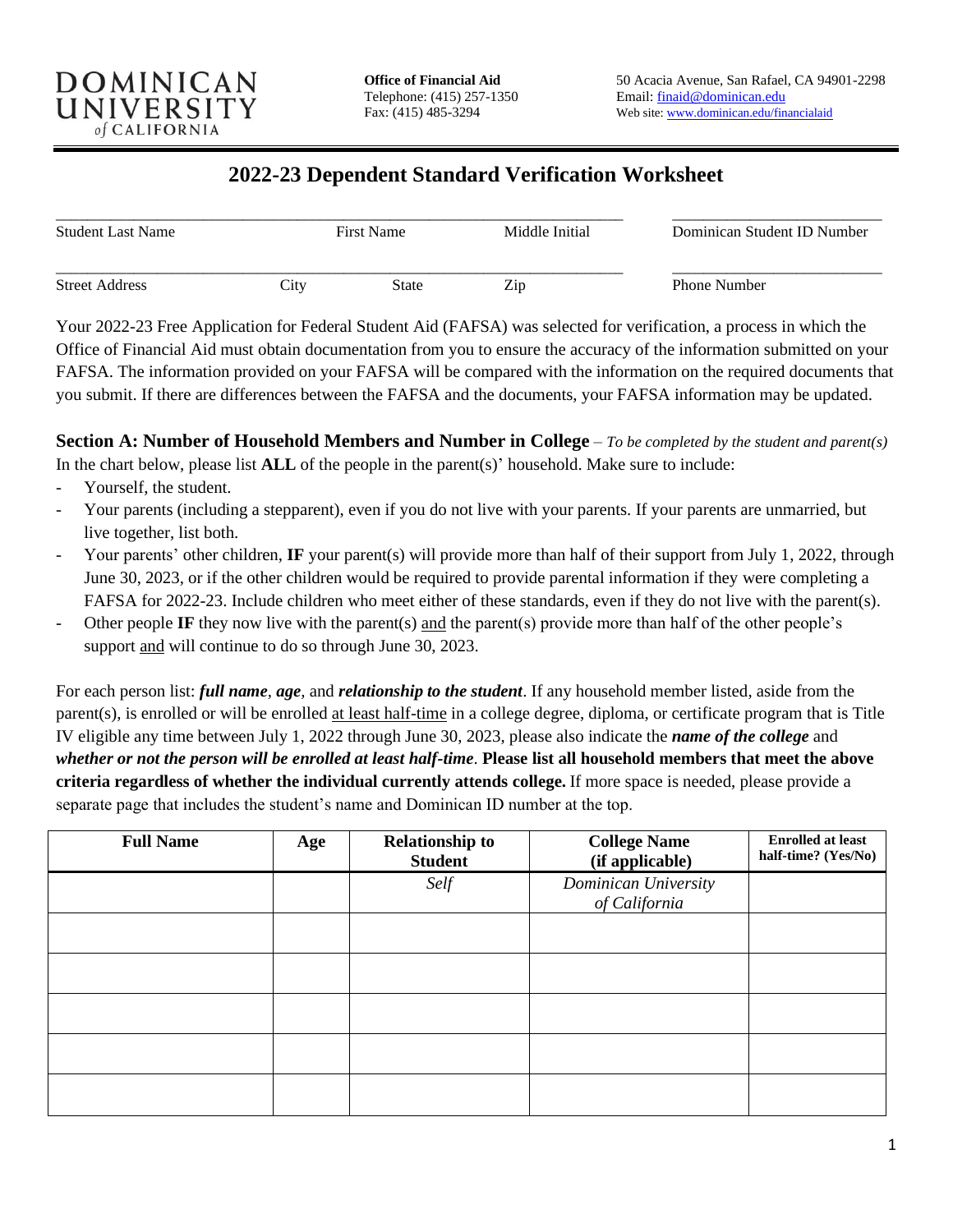

# **2022-23 Dependent Standard Verification Worksheet**

| <b>Student Last Name</b> |                   | <b>First Name</b> | Middle Initial<br>Zip | Dominican Student ID Number<br><b>Phone Number</b> |
|--------------------------|-------------------|-------------------|-----------------------|----------------------------------------------------|
| <b>Street Address</b>    | $\mathcal{L}$ ity | State             |                       |                                                    |

Your 2022-23 Free Application for Federal Student Aid (FAFSA) was selected for verification, a process in which the Office of Financial Aid must obtain documentation from you to ensure the accuracy of the information submitted on your FAFSA. The information provided on your FAFSA will be compared with the information on the required documents that you submit. If there are differences between the FAFSA and the documents, your FAFSA information may be updated.

**Section A: Number of Household Members and Number in College** – *To be completed by the student and parent(s)* In the chart below, please list **ALL** of the people in the parent(s)' household. Make sure to include:

- Yourself, the student.
- Your parents (including a stepparent), even if you do not live with your parents. If your parents are unmarried, but live together, list both.
- Your parents' other children, IF your parent(s) will provide more than half of their support from July 1, 2022, through June 30, 2023, or if the other children would be required to provide parental information if they were completing a FAFSA for 2022-23. Include children who meet either of these standards, even if they do not live with the parent(s).
- Other people **IF** they now live with the parent(s) and the parent(s) provide more than half of the other people's support and will continue to do so through June 30, 2023.

For each person list: *full name, age,* and *relationship to the student*. If any household member listed, aside from the parent(s), is enrolled or will be enrolled at least half-time in a college degree, diploma, or certificate program that is Title IV eligible any time between July 1, 2022 through June 30, 2023, please also indicate the *name of the college* and *whether or not the person will be enrolled at least half-time*. **Please list all household members that meet the above criteria regardless of whether the individual currently attends college.** If more space is needed, please provide a separate page that includes the student's name and Dominican ID number at the top.

| <b>Full Name</b> | Age | <b>Relationship to</b><br><b>Student</b> | <b>College Name</b><br>(if applicable) | <b>Enrolled at least</b><br>half-time? (Yes/No) |
|------------------|-----|------------------------------------------|----------------------------------------|-------------------------------------------------|
|                  |     | Self                                     | Dominican University<br>of California  |                                                 |
|                  |     |                                          |                                        |                                                 |
|                  |     |                                          |                                        |                                                 |
|                  |     |                                          |                                        |                                                 |
|                  |     |                                          |                                        |                                                 |
|                  |     |                                          |                                        |                                                 |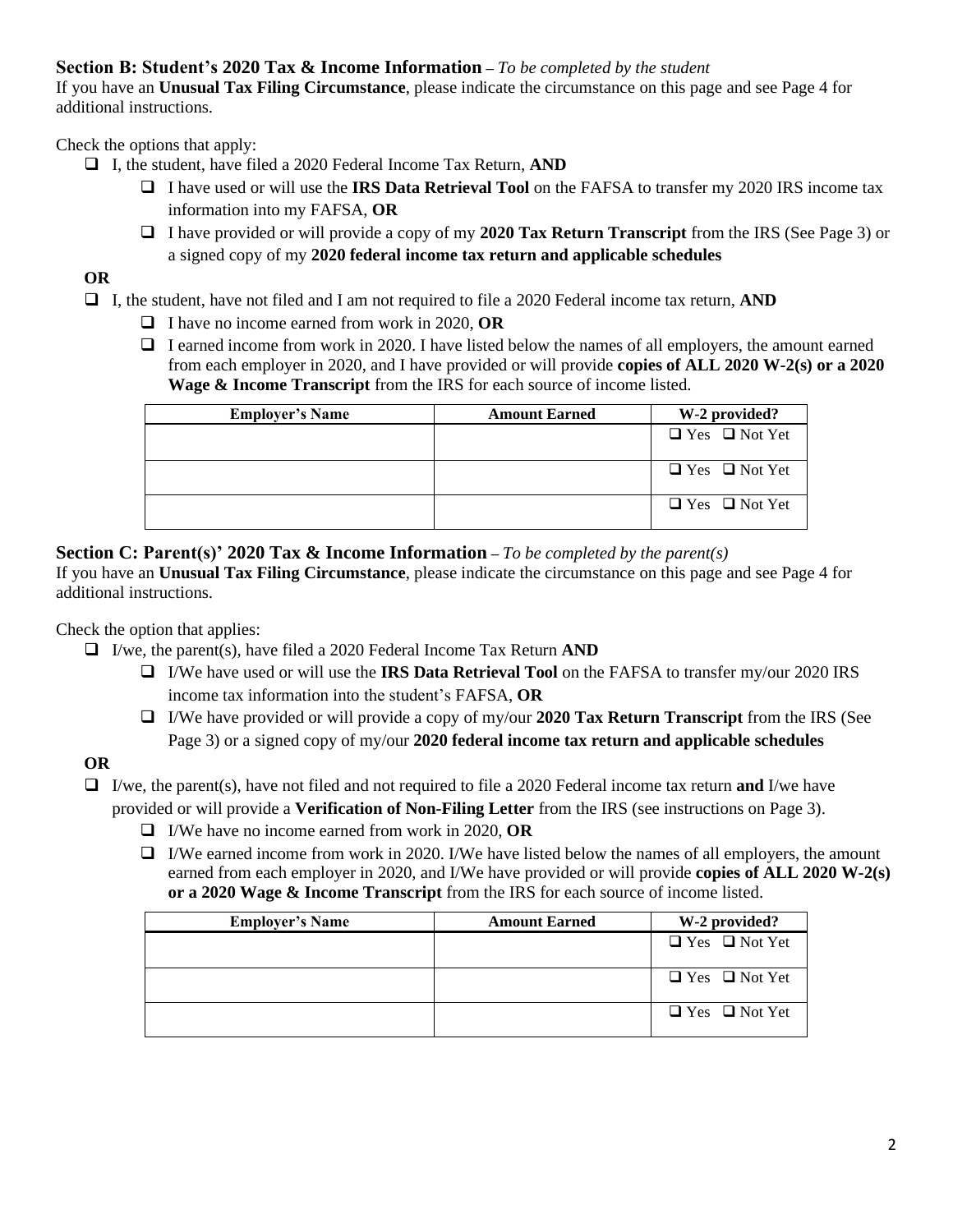#### **Section B: Student's 2020 Tax & Income Information –** *To be completed by the student*

If you have an **Unusual Tax Filing Circumstance**, please indicate the circumstance on this page and see Page 4 for additional instructions.

Check the options that apply:

- ❑ I, the student, have filed a 2020 Federal Income Tax Return, **AND**
	- ❑ I have used or will use the **IRS Data Retrieval Tool** on the FAFSA to transfer my 2020 IRS income tax information into my FAFSA, **OR**
	- ❑ I have provided or will provide a copy of my **2020 Tax Return Transcript** from the IRS (See Page 3) or a signed copy of my **2020 federal income tax return and applicable schedules**

# **OR**

❑ I, the student, have not filed and I am not required to file a 2020 Federal income tax return, **AND**

- ❑ I have no income earned from work in 2020, **OR**
- ❑ I earned income from work in 2020. I have listed below the names of all employers, the amount earned from each employer in 2020, and I have provided or will provide **copies of ALL 2020 W-2(s) or a 2020 Wage & Income Transcript** from the IRS for each source of income listed.

| <b>Employer's Name</b> | <b>Amount Earned</b> | W-2 provided?             |
|------------------------|----------------------|---------------------------|
|                        |                      | $\Box$ Yes $\Box$ Not Yet |
|                        |                      | $\Box$ Yes $\Box$ Not Yet |
|                        |                      | $\Box$ Yes $\Box$ Not Yet |

#### **Section C: Parent(s)' 2020 Tax & Income Information –** *To be completed by the parent(s)*

If you have an **Unusual Tax Filing Circumstance**, please indicate the circumstance on this page and see Page 4 for additional instructions.

Check the option that applies:

- ❑ I/we, the parent(s), have filed a 2020 Federal Income Tax Return **AND**
	- ❑ I/We have used or will use the **IRS Data Retrieval Tool** on the FAFSA to transfer my/our 2020 IRS income tax information into the student's FAFSA, **OR**
	- ❑ I/We have provided or will provide a copy of my/our **2020 Tax Return Transcript** from the IRS (See Page 3) or a signed copy of my/our **2020 federal income tax return and applicable schedules**

## **OR**

- ❑ I/we, the parent(s), have not filed and not required to file a 2020 Federal income tax return **and** I/we have provided or will provide a **Verification of Non-Filing Letter** from the IRS (see instructions on Page 3).
	- ❑ I/We have no income earned from work in 2020, **OR**
	- $\Box$  I/We earned income from work in 2020. I/We have listed below the names of all employers, the amount earned from each employer in 2020, and I/We have provided or will provide **copies of ALL 2020 W-2(s) or a 2020 Wage & Income Transcript** from the IRS for each source of income listed.

| <b>Employer's Name</b> | <b>Amount Earned</b> | W-2 provided?             |
|------------------------|----------------------|---------------------------|
|                        |                      | $\Box$ Yes $\Box$ Not Yet |
|                        |                      | $\Box$ Yes $\Box$ Not Yet |
|                        |                      | $\Box$ Yes $\Box$ Not Yet |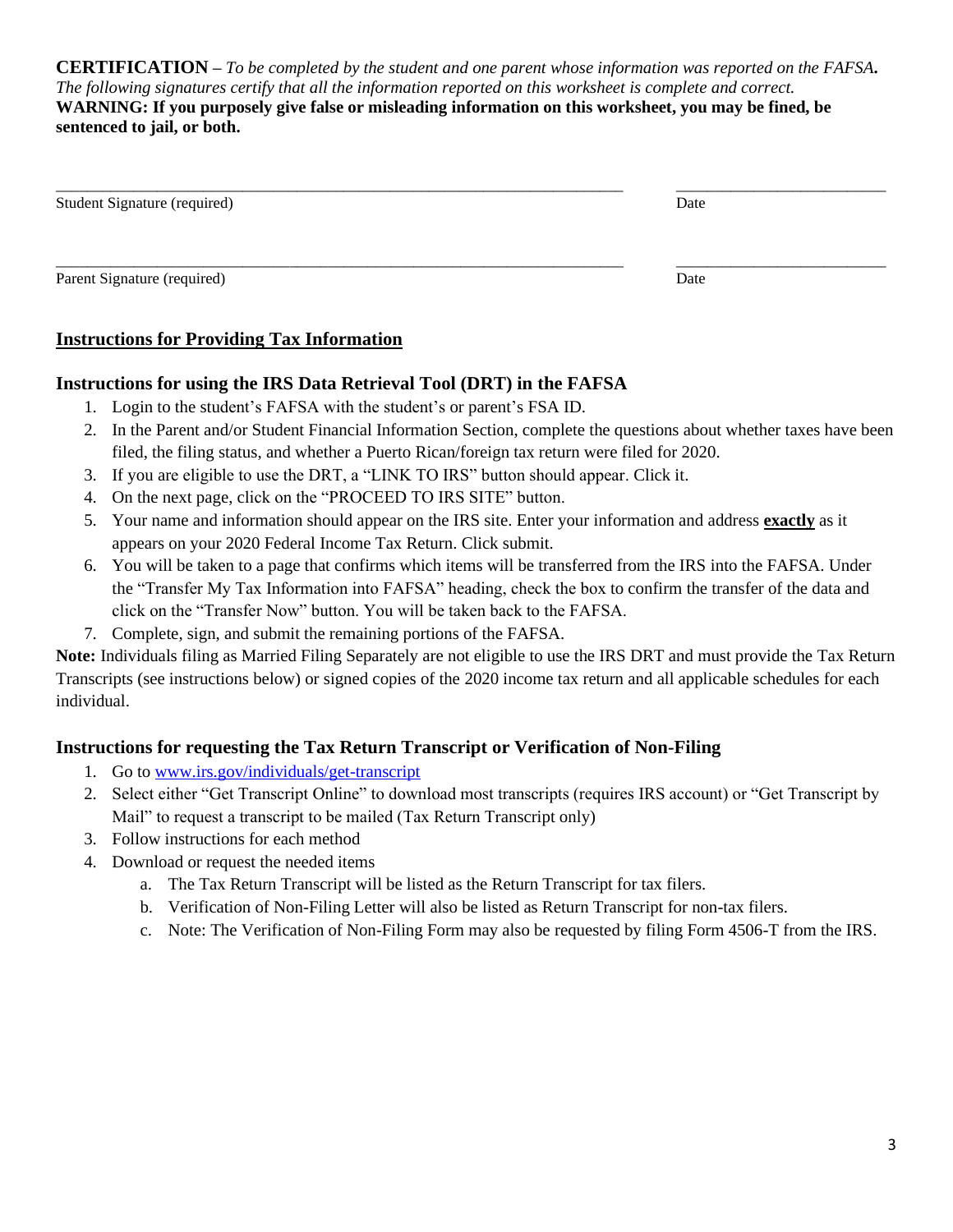**CERTIFICATION –** *To be completed by the student and one parent whose information was reported on the FAFSA***.**  *The following signatures certify that all the information reported on this worksheet is complete and correct.* **WARNING: If you purposely give false or misleading information on this worksheet, you may be fined, be sentenced to jail, or both.**

| Student Signature (required) | Date |
|------------------------------|------|
| Parent Signature (required)  | Date |

## **Instructions for Providing Tax Information**

#### **Instructions for using the IRS Data Retrieval Tool (DRT) in the FAFSA**

- 1. Login to the student's FAFSA with the student's or parent's FSA ID.
- 2. In the Parent and/or Student Financial Information Section, complete the questions about whether taxes have been filed, the filing status, and whether a Puerto Rican/foreign tax return were filed for 2020.
- 3. If you are eligible to use the DRT, a "LINK TO IRS" button should appear. Click it.
- 4. On the next page, click on the "PROCEED TO IRS SITE" button.
- 5. Your name and information should appear on the IRS site. Enter your information and address **exactly** as it appears on your 2020 Federal Income Tax Return. Click submit.
- 6. You will be taken to a page that confirms which items will be transferred from the IRS into the FAFSA. Under the "Transfer My Tax Information into FAFSA" heading, check the box to confirm the transfer of the data and click on the "Transfer Now" button. You will be taken back to the FAFSA.
- 7. Complete, sign, and submit the remaining portions of the FAFSA.

**Note:** Individuals filing as Married Filing Separately are not eligible to use the IRS DRT and must provide the Tax Return Transcripts (see instructions below) or signed copies of the 2020 income tax return and all applicable schedules for each individual.

## **Instructions for requesting the Tax Return Transcript or Verification of Non-Filing**

- 1. Go to [www.irs.gov/individuals/get-transcript](https://www.irs.gov/individuals/get-transcript)
- 2. Select either "Get Transcript Online" to download most transcripts (requires IRS account) or "Get Transcript by Mail" to request a transcript to be mailed (Tax Return Transcript only)
- 3. Follow instructions for each method
- 4. Download or request the needed items
	- a. The Tax Return Transcript will be listed as the Return Transcript for tax filers.
	- b. Verification of Non-Filing Letter will also be listed as Return Transcript for non-tax filers.
	- c. Note: The Verification of Non-Filing Form may also be requested by filing Form 4506-T from the IRS.